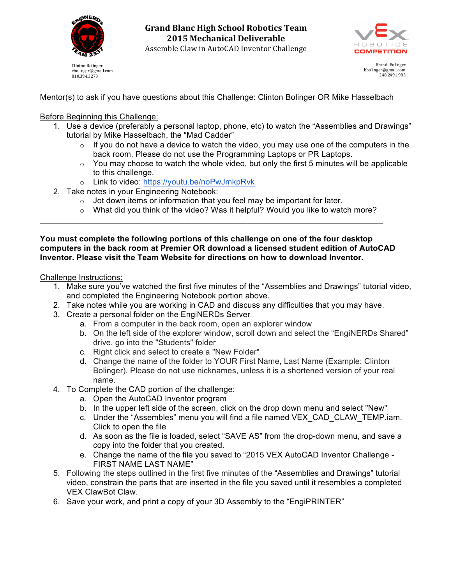

cbolinger@gmail.com 810.394.3273

**Grand Blanc High School Robotics Team 2015 Mechanical Deliverable** Assemble Claw in AutoCAD Inventor Challenge



Brandi Bolinger bbolinger@gmail.com 248.249.1983

Mentor(s) to ask if you have questions about this Challenge: Clinton Bolinger OR Mike Hasselbach

## Before Beginning this Challenge:

- 1. Use a device (preferably a personal laptop, phone, etc) to watch the "Assemblies and Drawings" tutorial by Mike Hasselbach, the "Mad Cadder"
	- $\circ$  If you do not have a device to watch the video, you may use one of the computers in the back room. Please do not use the Programming Laptops or PR Laptops.
	- $\circ$  You may choose to watch the whole video, but only the first 5 minutes will be applicable to this challenge.
	- o Link to video: https://youtu.be/noPwJmkpRvk
- 2. Take notes in your Engineering Notebook:
	- $\circ$  Jot down items or information that you feel may be important for later.

\_\_\_\_\_\_\_\_\_\_\_\_\_\_\_\_\_\_\_\_\_\_\_\_\_\_\_\_\_\_\_\_\_\_\_\_\_\_\_\_\_\_\_\_\_\_\_\_\_\_\_\_\_\_\_\_\_\_\_\_\_\_\_\_\_\_\_\_\_\_\_\_\_\_\_\_

 $\circ$  What did you think of the video? Was it helpful? Would you like to watch more?

**You must complete the following portions of this challenge on one of the four desktop computers in the back room at Premier OR download a licensed student edition of AutoCAD Inventor. Please visit the Team Website for directions on how to download Inventor.**

Challenge Instructions:

- 1. Make sure you've watched the first five minutes of the "Assemblies and Drawings" tutorial video, and completed the Engineering Notebook portion above.
- 2. Take notes while you are working in CAD and discuss any difficulties that you may have.
- 3. Create a personal folder on the EngiNERDs Server
	- a. From a computer in the back room, open an explorer window
	- b. On the left side of the explorer window, scroll down and select the "EngiNERDs Shared" drive, go into the "Students" folder
	- c. Right click and select to create a "New Folder"
	- d. Change the name of the folder to YOUR First Name, Last Name (Example: Clinton Bolinger). Please do not use nicknames, unless it is a shortened version of your real name.
- 4. To Complete the CAD portion of the challenge:
	- a. Open the AutoCAD Inventor program
	- b. In the upper left side of the screen, click on the drop down menu and select "New"
	- c. Under the "Assembles" menu you will find a file named VEX\_CAD\_CLAW\_TEMP.iam. Click to open the file
	- d. As soon as the file is loaded, select "SAVE AS" from the drop-down menu, and save a copy into the folder that you created.
	- e. Change the name of the file you saved to "2015 VEX AutoCAD Inventor Challenge FIRST NAME LAST NAME"
- 5. Following the steps outlined in the first five minutes of the "Assemblies and Drawings" tutorial video, constrain the parts that are inserted in the file you saved until it resembles a completed VEX ClawBot Claw.
- 6. Save your work, and print a copy of your 3D Assembly to the "EngiPRINTER"